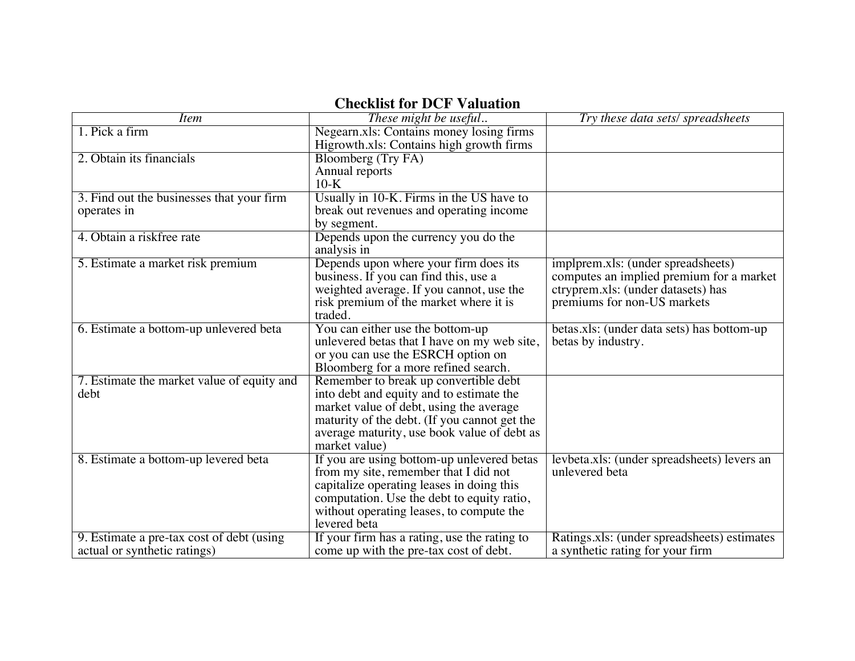## **Checklist for DCF Valuation**

| <i>Item</i>                                | These might be useful                        | Try these data sets/spreadsheets            |
|--------------------------------------------|----------------------------------------------|---------------------------------------------|
| 1. Pick a firm                             | Negearn.xls: Contains money losing firms     |                                             |
|                                            | Higrowth.xls: Contains high growth firms     |                                             |
| 2. Obtain its financials                   | <b>Bloomberg (Try FA)</b>                    |                                             |
|                                            | Annual reports                               |                                             |
|                                            | $10-K$                                       |                                             |
| 3. Find out the businesses that your firm  | Usually in 10-K. Firms in the US have to     |                                             |
| operates in                                | break out revenues and operating income      |                                             |
|                                            | by segment.                                  |                                             |
| 4. Obtain a riskfree rate                  | Depends upon the currency you do the         |                                             |
|                                            | analysis in                                  |                                             |
| 5. Estimate a market risk premium          | Depends upon where your firm does its        | implprem.xls: (under spreadsheets)          |
|                                            | business. If you can find this, use a        | computes an implied premium for a market    |
|                                            | weighted average. If you cannot, use the     | ctryprem.xls: (under datasets) has          |
|                                            | risk premium of the market where it is       | premiums for non-US markets                 |
|                                            | traded.                                      |                                             |
| 6. Estimate a bottom-up unlevered beta     | You can either use the bottom-up             | betas.xls: (under data sets) has bottom-up  |
|                                            | unlevered betas that I have on my web site,  | betas by industry.                          |
|                                            | or you can use the ESRCH option on           |                                             |
|                                            | Bloomberg for a more refined search.         |                                             |
| 7. Estimate the market value of equity and | Remember to break up convertible debt        |                                             |
| debt                                       | into debt and equity and to estimate the     |                                             |
|                                            | market value of debt, using the average      |                                             |
|                                            | maturity of the debt. (If you cannot get the |                                             |
|                                            | average maturity, use book value of debt as  |                                             |
|                                            | market value)                                |                                             |
| 8. Estimate a bottom-up levered beta       | If you are using bottom-up unlevered betas   | levbeta.xls: (under spreadsheets) levers an |
|                                            | from my site, remember that I did not        | unlevered beta                              |
|                                            | capitalize operating leases in doing this    |                                             |
|                                            | computation. Use the debt to equity ratio,   |                                             |
|                                            | without operating leases, to compute the     |                                             |
|                                            | levered beta                                 |                                             |
| 9. Estimate a pre-tax cost of debt (using) | If your firm has a rating, use the rating to | Ratings.xls: (under spreadsheets) estimates |
| actual or synthetic ratings)               | come up with the pre-tax cost of debt.       | a synthetic rating for your firm            |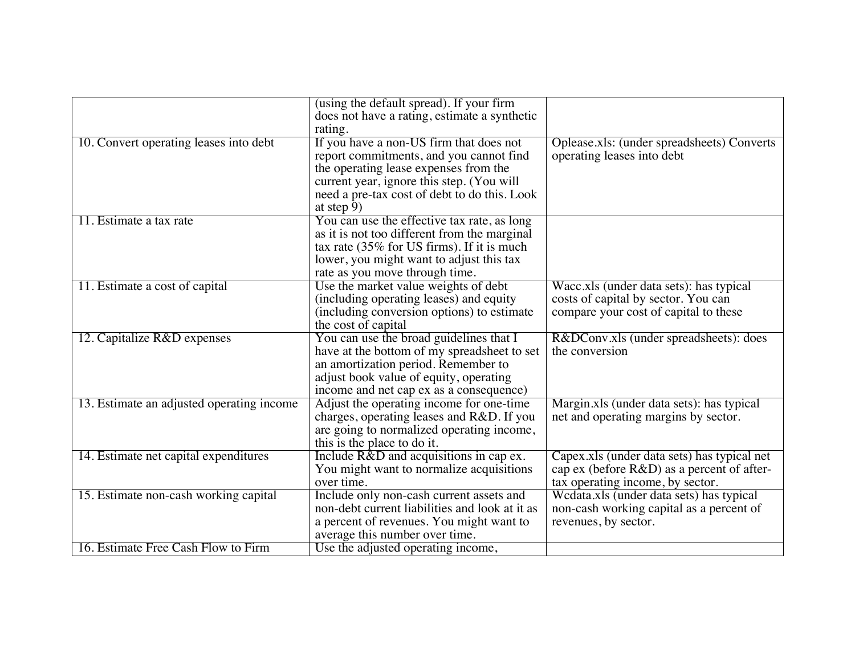|                                           | (using the default spread). If your firm<br>does not have a rating, estimate a synthetic<br>rating.                                                                                                                                    |                                                                                                                               |
|-------------------------------------------|----------------------------------------------------------------------------------------------------------------------------------------------------------------------------------------------------------------------------------------|-------------------------------------------------------------------------------------------------------------------------------|
| 10. Convert operating leases into debt    | If you have a non-US firm that does not<br>report commitments, and you cannot find<br>the operating lease expenses from the<br>current year, ignore this step. (You will<br>need a pre-tax cost of debt to do this. Look<br>at step 9) | Oplease.xls: (under spreadsheets) Converts<br>operating leases into debt                                                      |
| 11. Estimate a tax rate                   | You can use the effective tax rate, as long<br>as it is not too different from the marginal<br>tax rate (35% for US firms). If it is much<br>lower, you might want to adjust this tax<br>rate as you move through time.                |                                                                                                                               |
| 11. Estimate a cost of capital            | Use the market value weights of debt<br>(including operating leases) and equity<br>(including conversion options) to estimate<br>the cost of capital                                                                                   | Wacc.xls (under data sets): has typical<br>costs of capital by sector. You can<br>compare your cost of capital to these       |
| 12. Capitalize R&D expenses               | You can use the broad guidelines that I<br>have at the bottom of my spreadsheet to set<br>an amortization period. Remember to<br>adjust book value of equity, operating<br>income and net cap ex as a consequence)                     | R&DConv.xls (under spreadsheets): does<br>the conversion                                                                      |
| 13. Estimate an adjusted operating income | Adjust the operating income for one-time<br>charges, operating leases and R&D. If you<br>are going to normalized operating income,<br>this is the place to do it.                                                                      | Margin.xls (under data sets): has typical<br>net and operating margins by sector.                                             |
| 14. Estimate net capital expenditures     | Include R&D and acquisitions in cap ex.<br>You might want to normalize acquisitions<br>over time.                                                                                                                                      | Capex xls (under data sets) has typical net<br>cap ex (before R&D) as a percent of after-<br>tax operating income, by sector. |
| 15. Estimate non-cash working capital     | Include only non-cash current assets and<br>non-debt current liabilities and look at it as<br>a percent of revenues. You might want to<br>average this number over time.                                                               | Wedata.xls (under data sets) has typical<br>non-cash working capital as a percent of<br>revenues, by sector.                  |
| 16. Estimate Free Cash Flow to Firm       | Use the adjusted operating income,                                                                                                                                                                                                     |                                                                                                                               |